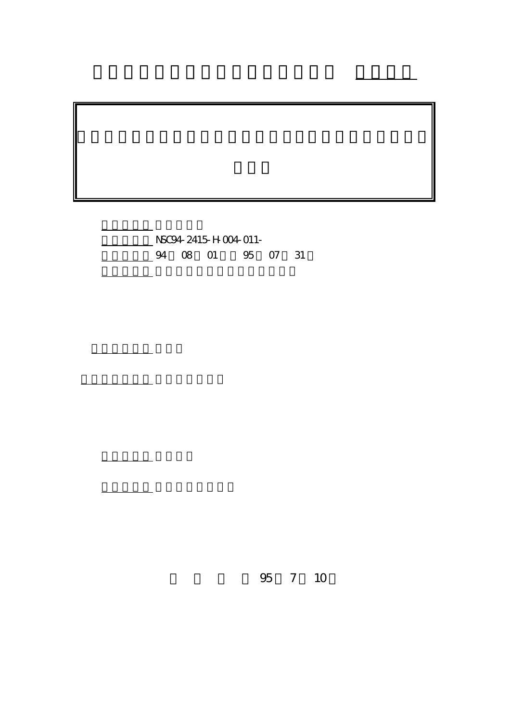計畫編號: NSC94-2415-H-004-011- 4 08 01 95 07 31

執行單位: 國立政治大學國際關係研究中心

計畫參與人員: 王國臣、張華維

報告類型: 精簡報告

。<br>在前書 : 本計畫可公開查詢

行政院國家科學委員會專題研究計畫 成果報告

95 7 10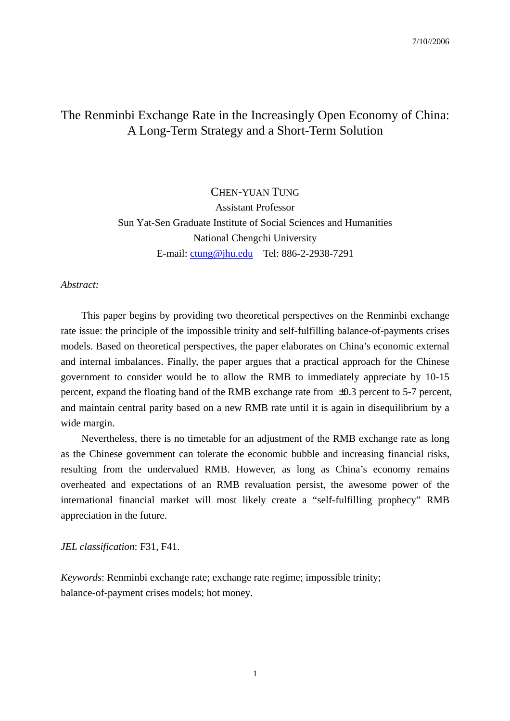# The Renminbi Exchange Rate in the Increasingly Open Economy of China: A Long-Term Strategy and a Short-Term Solution

CHEN-YUAN TUNG Assistant Professor Sun Yat-Sen Graduate Institute of Social Sciences and Humanities National Chengchi University E-mail: ctung@jhu.edu Tel: 886-2-2938-7291

#### *Abstract:*

This paper begins by providing two theoretical perspectives on the Renminbi exchange rate issue: the principle of the impossible trinity and self-fulfilling balance-of-payments crises models. Based on theoretical perspectives, the paper elaborates on China's economic external and internal imbalances. Finally, the paper argues that a practical approach for the Chinese government to consider would be to allow the RMB to immediately appreciate by 10-15 percent, expand the floating band of the RMB exchange rate from ±0.3 percent to 5-7 percent, and maintain central parity based on a new RMB rate until it is again in disequilibrium by a wide margin.

Nevertheless, there is no timetable for an adjustment of the RMB exchange rate as long as the Chinese government can tolerate the economic bubble and increasing financial risks, resulting from the undervalued RMB. However, as long as China's economy remains overheated and expectations of an RMB revaluation persist, the awesome power of the international financial market will most likely create a "self-fulfilling prophecy" RMB appreciation in the future.

*JEL classification*: F31, F41.

*Keywords*: Renminbi exchange rate; exchange rate regime; impossible trinity; balance-of-payment crises models; hot money.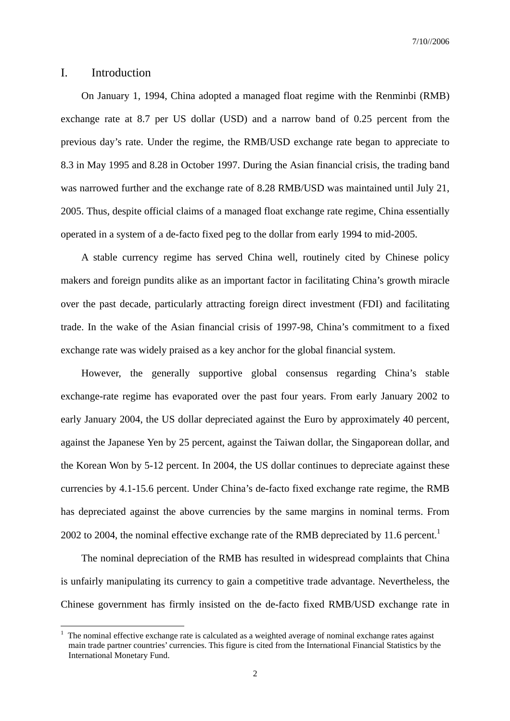## I. Introduction

 $\overline{a}$ 

On January 1, 1994, China adopted a managed float regime with the Renminbi (RMB) exchange rate at 8.7 per US dollar (USD) and a narrow band of 0.25 percent from the previous day's rate. Under the regime, the RMB/USD exchange rate began to appreciate to 8.3 in May 1995 and 8.28 in October 1997. During the Asian financial crisis, the trading band was narrowed further and the exchange rate of 8.28 RMB/USD was maintained until July 21, 2005. Thus, despite official claims of a managed float exchange rate regime, China essentially operated in a system of a de-facto fixed peg to the dollar from early 1994 to mid-2005.

A stable currency regime has served China well, routinely cited by Chinese policy makers and foreign pundits alike as an important factor in facilitating China's growth miracle over the past decade, particularly attracting foreign direct investment (FDI) and facilitating trade. In the wake of the Asian financial crisis of 1997-98, China's commitment to a fixed exchange rate was widely praised as a key anchor for the global financial system.

However, the generally supportive global consensus regarding China's stable exchange-rate regime has evaporated over the past four years. From early January 2002 to early January 2004, the US dollar depreciated against the Euro by approximately 40 percent, against the Japanese Yen by 25 percent, against the Taiwan dollar, the Singaporean dollar, and the Korean Won by 5-12 percent. In 2004, the US dollar continues to depreciate against these currencies by 4.1-15.6 percent. Under China's de-facto fixed exchange rate regime, the RMB has depreciated against the above currencies by the same margins in nominal terms. From 2002 to 2004, the nominal effective exchange rate of the RMB depreciated by 11.6 percent.<sup>1</sup>

The nominal depreciation of the RMB has resulted in widespread complaints that China is unfairly manipulating its currency to gain a competitive trade advantage. Nevertheless, the Chinese government has firmly insisted on the de-facto fixed RMB/USD exchange rate in

<sup>1</sup> The nominal effective exchange rate is calculated as a weighted average of nominal exchange rates against main trade partner countries' currencies. This figure is cited from the International Financial Statistics by the International Monetary Fund.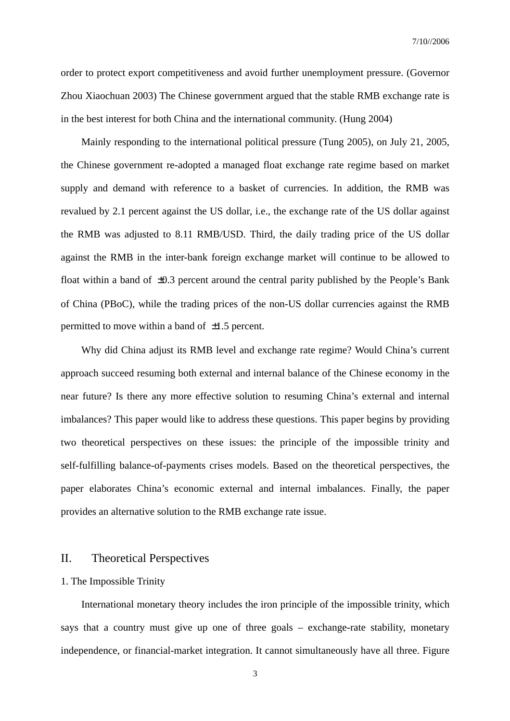order to protect export competitiveness and avoid further unemployment pressure. (Governor Zhou Xiaochuan 2003) The Chinese government argued that the stable RMB exchange rate is in the best interest for both China and the international community. (Hung 2004)

 Mainly responding to the international political pressure (Tung 2005), on July 21, 2005, the Chinese government re-adopted a managed float exchange rate regime based on market supply and demand with reference to a basket of currencies. In addition, the RMB was revalued by 2.1 percent against the US dollar, i.e., the exchange rate of the US dollar against the RMB was adjusted to 8.11 RMB/USD. Third, the daily trading price of the US dollar against the RMB in the inter-bank foreign exchange market will continue to be allowed to float within a band of  $\pm 0.3$  percent around the central parity published by the People's Bank of China (PBoC), while the trading prices of the non-US dollar currencies against the RMB permitted to move within a band of  $\pm 1.5$  percent.

Why did China adjust its RMB level and exchange rate regime? Would China's current approach succeed resuming both external and internal balance of the Chinese economy in the near future? Is there any more effective solution to resuming China's external and internal imbalances? This paper would like to address these questions. This paper begins by providing two theoretical perspectives on these issues: the principle of the impossible trinity and self-fulfilling balance-of-payments crises models. Based on the theoretical perspectives, the paper elaborates China's economic external and internal imbalances. Finally, the paper provides an alternative solution to the RMB exchange rate issue.

# II. Theoretical Perspectives

### 1. The Impossible Trinity

International monetary theory includes the iron principle of the impossible trinity, which says that a country must give up one of three goals – exchange-rate stability, monetary independence, or financial-market integration. It cannot simultaneously have all three. Figure

3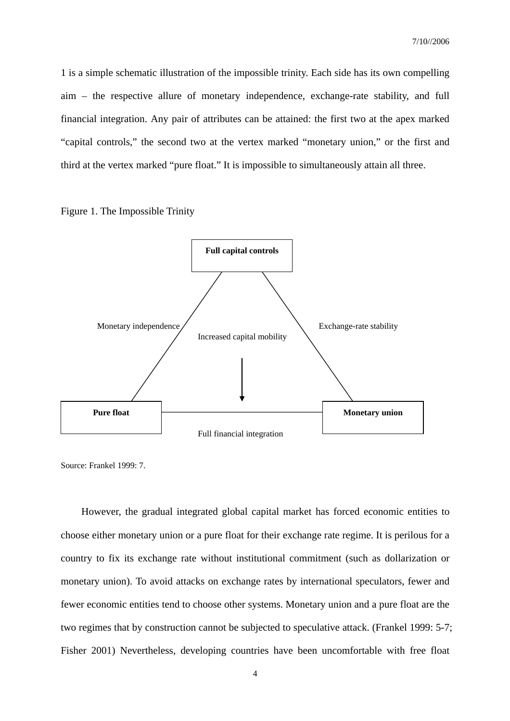1 is a simple schematic illustration of the impossible trinity. Each side has its own compelling aim – the respective allure of monetary independence, exchange-rate stability, and full financial integration. Any pair of attributes can be attained: the first two at the apex marked "capital controls," the second two at the vertex marked "monetary union," or the first and third at the vertex marked "pure float." It is impossible to simultaneously attain all three.

Figure 1. The Impossible Trinity



Source: Frankel 1999: 7.

However, the gradual integrated global capital market has forced economic entities to choose either monetary union or a pure float for their exchange rate regime. It is perilous for a country to fix its exchange rate without institutional commitment (such as dollarization or monetary union). To avoid attacks on exchange rates by international speculators, fewer and fewer economic entities tend to choose other systems. Monetary union and a pure float are the two regimes that by construction cannot be subjected to speculative attack. (Frankel 1999: 5-7; Fisher 2001) Nevertheless, developing countries have been uncomfortable with free float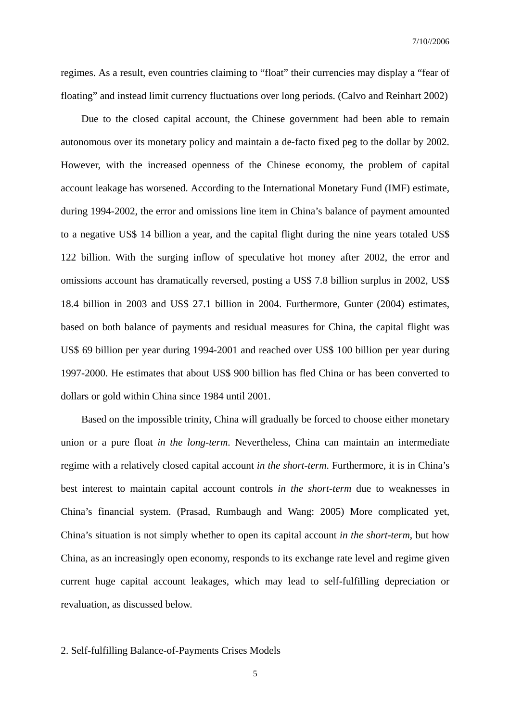regimes. As a result, even countries claiming to "float" their currencies may display a "fear of floating" and instead limit currency fluctuations over long periods. (Calvo and Reinhart 2002)

Due to the closed capital account, the Chinese government had been able to remain autonomous over its monetary policy and maintain a de-facto fixed peg to the dollar by 2002. However, with the increased openness of the Chinese economy, the problem of capital account leakage has worsened. According to the International Monetary Fund (IMF) estimate, during 1994-2002, the error and omissions line item in China's balance of payment amounted to a negative US\$ 14 billion a year, and the capital flight during the nine years totaled US\$ 122 billion. With the surging inflow of speculative hot money after 2002, the error and omissions account has dramatically reversed, posting a US\$ 7.8 billion surplus in 2002, US\$ 18.4 billion in 2003 and US\$ 27.1 billion in 2004. Furthermore, Gunter (2004) estimates, based on both balance of payments and residual measures for China, the capital flight was US\$ 69 billion per year during 1994-2001 and reached over US\$ 100 billion per year during 1997-2000. He estimates that about US\$ 900 billion has fled China or has been converted to dollars or gold within China since 1984 until 2001.

Based on the impossible trinity, China will gradually be forced to choose either monetary union or a pure float *in the long-term*. Nevertheless, China can maintain an intermediate regime with a relatively closed capital account *in the short-term*. Furthermore, it is in China's best interest to maintain capital account controls *in the short-term* due to weaknesses in China's financial system. (Prasad, Rumbaugh and Wang: 2005) More complicated yet, China's situation is not simply whether to open its capital account *in the short-term*, but how China, as an increasingly open economy, responds to its exchange rate level and regime given current huge capital account leakages, which may lead to self-fulfilling depreciation or revaluation, as discussed below.

#### 2. Self-fulfilling Balance-of-Payments Crises Models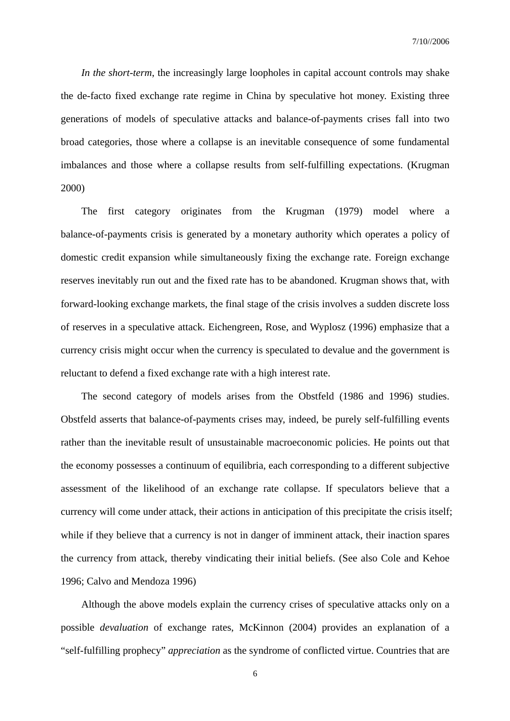*In the short-term*, the increasingly large loopholes in capital account controls may shake the de-facto fixed exchange rate regime in China by speculative hot money. Existing three generations of models of speculative attacks and balance-of-payments crises fall into two broad categories, those where a collapse is an inevitable consequence of some fundamental imbalances and those where a collapse results from self-fulfilling expectations. (Krugman 2000)

The first category originates from the Krugman (1979) model where a balance-of-payments crisis is generated by a monetary authority which operates a policy of domestic credit expansion while simultaneously fixing the exchange rate. Foreign exchange reserves inevitably run out and the fixed rate has to be abandoned. Krugman shows that, with forward-looking exchange markets, the final stage of the crisis involves a sudden discrete loss of reserves in a speculative attack. Eichengreen, Rose, and Wyplosz (1996) emphasize that a currency crisis might occur when the currency is speculated to devalue and the government is reluctant to defend a fixed exchange rate with a high interest rate.

 The second category of models arises from the Obstfeld (1986 and 1996) studies. Obstfeld asserts that balance-of-payments crises may, indeed, be purely self-fulfilling events rather than the inevitable result of unsustainable macroeconomic policies. He points out that the economy possesses a continuum of equilibria, each corresponding to a different subjective assessment of the likelihood of an exchange rate collapse. If speculators believe that a currency will come under attack, their actions in anticipation of this precipitate the crisis itself; while if they believe that a currency is not in danger of imminent attack, their inaction spares the currency from attack, thereby vindicating their initial beliefs. (See also Cole and Kehoe 1996; Calvo and Mendoza 1996)

 Although the above models explain the currency crises of speculative attacks only on a possible *devaluation* of exchange rates, McKinnon (2004) provides an explanation of a "self-fulfilling prophecy" *appreciation* as the syndrome of conflicted virtue. Countries that are

6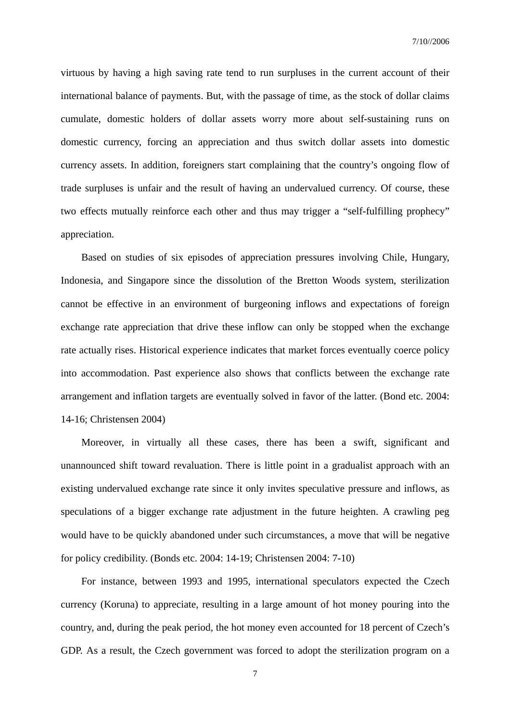virtuous by having a high saving rate tend to run surpluses in the current account of their international balance of payments. But, with the passage of time, as the stock of dollar claims cumulate, domestic holders of dollar assets worry more about self-sustaining runs on domestic currency, forcing an appreciation and thus switch dollar assets into domestic currency assets. In addition, foreigners start complaining that the country's ongoing flow of trade surpluses is unfair and the result of having an undervalued currency. Of course, these two effects mutually reinforce each other and thus may trigger a "self-fulfilling prophecy" appreciation.

 Based on studies of six episodes of appreciation pressures involving Chile, Hungary, Indonesia, and Singapore since the dissolution of the Bretton Woods system, sterilization cannot be effective in an environment of burgeoning inflows and expectations of foreign exchange rate appreciation that drive these inflow can only be stopped when the exchange rate actually rises. Historical experience indicates that market forces eventually coerce policy into accommodation. Past experience also shows that conflicts between the exchange rate arrangement and inflation targets are eventually solved in favor of the latter. (Bond etc. 2004: 14-16; Christensen 2004)

Moreover, in virtually all these cases, there has been a swift, significant and unannounced shift toward revaluation. There is little point in a gradualist approach with an existing undervalued exchange rate since it only invites speculative pressure and inflows, as speculations of a bigger exchange rate adjustment in the future heighten. A crawling peg would have to be quickly abandoned under such circumstances, a move that will be negative for policy credibility. (Bonds etc. 2004: 14-19; Christensen 2004: 7-10)

For instance, between 1993 and 1995, international speculators expected the Czech currency (Koruna) to appreciate, resulting in a large amount of hot money pouring into the country, and, during the peak period, the hot money even accounted for 18 percent of Czech's GDP. As a result, the Czech government was forced to adopt the sterilization program on a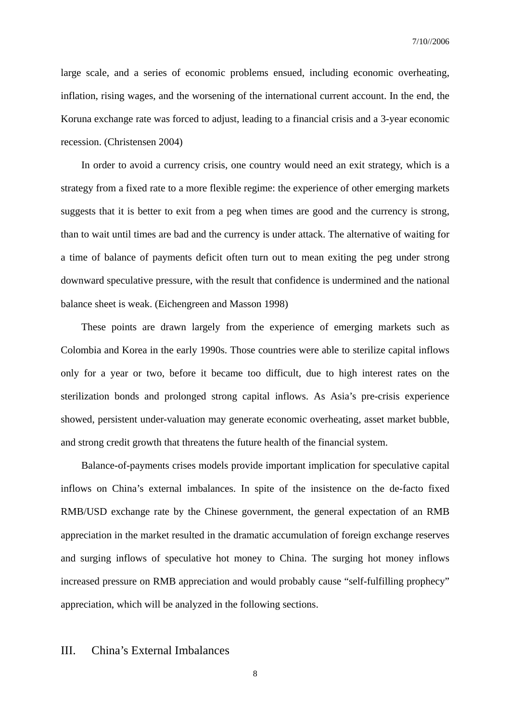large scale, and a series of economic problems ensued, including economic overheating, inflation, rising wages, and the worsening of the international current account. In the end, the Koruna exchange rate was forced to adjust, leading to a financial crisis and a 3-year economic recession. (Christensen 2004)

In order to avoid a currency crisis, one country would need an exit strategy, which is a strategy from a fixed rate to a more flexible regime: the experience of other emerging markets suggests that it is better to exit from a peg when times are good and the currency is strong, than to wait until times are bad and the currency is under attack. The alternative of waiting for a time of balance of payments deficit often turn out to mean exiting the peg under strong downward speculative pressure, with the result that confidence is undermined and the national balance sheet is weak. (Eichengreen and Masson 1998)

These points are drawn largely from the experience of emerging markets such as Colombia and Korea in the early 1990s. Those countries were able to sterilize capital inflows only for a year or two, before it became too difficult, due to high interest rates on the sterilization bonds and prolonged strong capital inflows. As Asia's pre-crisis experience showed, persistent under-valuation may generate economic overheating, asset market bubble, and strong credit growth that threatens the future health of the financial system.

Balance-of-payments crises models provide important implication for speculative capital inflows on China's external imbalances. In spite of the insistence on the de-facto fixed RMB/USD exchange rate by the Chinese government, the general expectation of an RMB appreciation in the market resulted in the dramatic accumulation of foreign exchange reserves and surging inflows of speculative hot money to China. The surging hot money inflows increased pressure on RMB appreciation and would probably cause "self-fulfilling prophecy" appreciation, which will be analyzed in the following sections.

# III. China's External Imbalances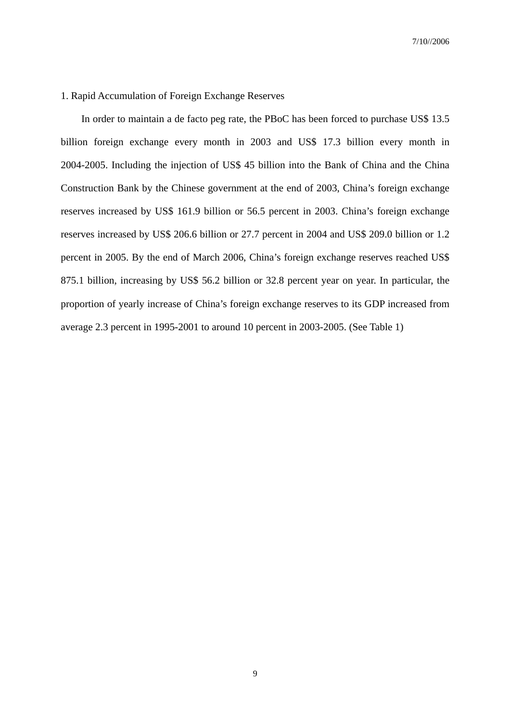#### 1. Rapid Accumulation of Foreign Exchange Reserves

In order to maintain a de facto peg rate, the PBoC has been forced to purchase US\$ 13.5 billion foreign exchange every month in 2003 and US\$ 17.3 billion every month in 2004-2005. Including the injection of US\$ 45 billion into the Bank of China and the China Construction Bank by the Chinese government at the end of 2003, China's foreign exchange reserves increased by US\$ 161.9 billion or 56.5 percent in 2003. China's foreign exchange reserves increased by US\$ 206.6 billion or 27.7 percent in 2004 and US\$ 209.0 billion or 1.2 percent in 2005. By the end of March 2006, China's foreign exchange reserves reached US\$ 875.1 billion, increasing by US\$ 56.2 billion or 32.8 percent year on year. In particular, the proportion of yearly increase of China's foreign exchange reserves to its GDP increased from average 2.3 percent in 1995-2001 to around 10 percent in 2003-2005. (See Table 1)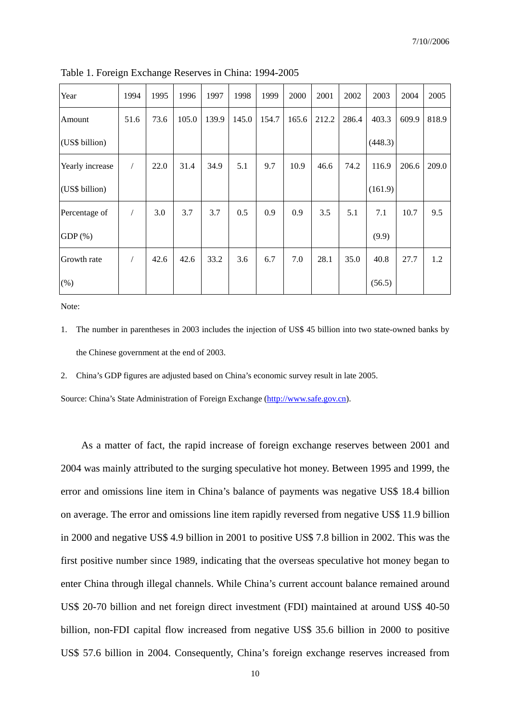| Year            | 1994       | 1995 | 1996  | 1997  | 1998  | 1999  | 2000  | 2001  | 2002  | 2003    | 2004  | 2005  |
|-----------------|------------|------|-------|-------|-------|-------|-------|-------|-------|---------|-------|-------|
| Amount          | 51.6       | 73.6 | 105.0 | 139.9 | 145.0 | 154.7 | 165.6 | 212.2 | 286.4 | 403.3   | 609.9 | 818.9 |
| (US\$ billion)  |            |      |       |       |       |       |       |       |       | (448.3) |       |       |
| Yearly increase | $\sqrt{2}$ | 22.0 | 31.4  | 34.9  | 5.1   | 9.7   | 10.9  | 46.6  | 74.2  | 116.9   | 206.6 | 209.0 |
| (US\$ billion)  |            |      |       |       |       |       |       |       |       | (161.9) |       |       |
| Percentage of   | $\sqrt{2}$ | 3.0  | 3.7   | 3.7   | 0.5   | 0.9   | 0.9   | 3.5   | 5.1   | 7.1     | 10.7  | 9.5   |
| $GDP(\% )$      |            |      |       |       |       |       |       |       |       | (9.9)   |       |       |
| Growth rate     |            | 42.6 | 42.6  | 33.2  | 3.6   | 6.7   | 7.0   | 28.1  | 35.0  | 40.8    | 27.7  | 1.2   |
| (% )            |            |      |       |       |       |       |       |       |       | (56.5)  |       |       |

Table 1. Foreign Exchange Reserves in China: 1994-2005

Note:

- 1. The number in parentheses in 2003 includes the injection of US\$ 45 billion into two state-owned banks by the Chinese government at the end of 2003.
- 2. China's GDP figures are adjusted based on China's economic survey result in late 2005.

Source: China's State Administration of Foreign Exchange (http://www.safe.gov.cn).

As a matter of fact, the rapid increase of foreign exchange reserves between 2001 and 2004 was mainly attributed to the surging speculative hot money. Between 1995 and 1999, the error and omissions line item in China's balance of payments was negative US\$ 18.4 billion on average. The error and omissions line item rapidly reversed from negative US\$ 11.9 billion in 2000 and negative US\$ 4.9 billion in 2001 to positive US\$ 7.8 billion in 2002. This was the first positive number since 1989, indicating that the overseas speculative hot money began to enter China through illegal channels. While China's current account balance remained around US\$ 20-70 billion and net foreign direct investment (FDI) maintained at around US\$ 40-50 billion, non-FDI capital flow increased from negative US\$ 35.6 billion in 2000 to positive US\$ 57.6 billion in 2004. Consequently, China's foreign exchange reserves increased from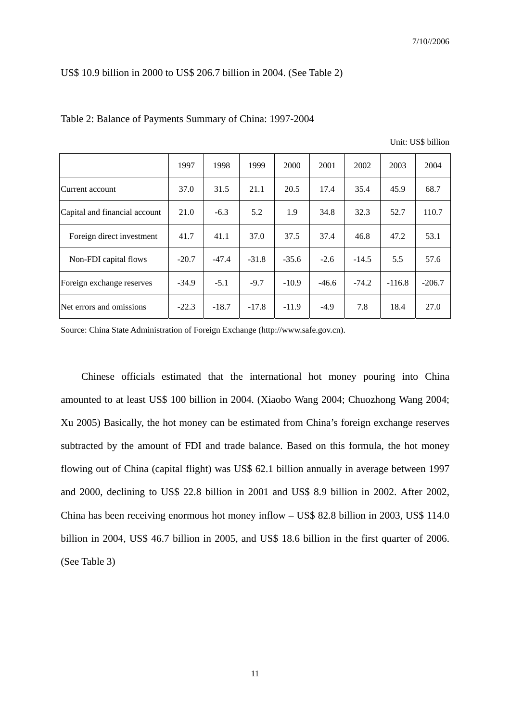#### US\$ 10.9 billion in 2000 to US\$ 206.7 billion in 2004. (See Table 2)

|                               | 1997    | 1998    | 1999    | 2000    | 2001    | 2002    | 2003     | 2004     |
|-------------------------------|---------|---------|---------|---------|---------|---------|----------|----------|
| Current account               | 37.0    | 31.5    | 21.1    | 20.5    | 17.4    | 35.4    | 45.9     | 68.7     |
| Capital and financial account | 21.0    | $-6.3$  | 5.2     | 1.9     | 34.8    | 32.3    | 52.7     | 110.7    |
| Foreign direct investment     | 41.7    | 41.1    | 37.0    | 37.5    | 37.4    | 46.8    | 47.2     | 53.1     |
| Non-FDI capital flows         | $-20.7$ | $-47.4$ | $-31.8$ | $-35.6$ | $-2.6$  | $-14.5$ | 5.5      | 57.6     |
| Foreign exchange reserves     | $-34.9$ | $-5.1$  | $-9.7$  | $-10.9$ | $-46.6$ | $-74.2$ | $-116.8$ | $-206.7$ |
| Net errors and omissions      | $-22.3$ | $-18.7$ | $-17.8$ | $-11.9$ | $-4.9$  | 7.8     | 18.4     | 27.0     |

#### Table 2: Balance of Payments Summary of China: 1997-2004

Unit: US\$ billion

Source: China State Administration of Foreign Exchange (http://www.safe.gov.cn).

Chinese officials estimated that the international hot money pouring into China amounted to at least US\$ 100 billion in 2004. (Xiaobo Wang 2004; Chuozhong Wang 2004; Xu 2005) Basically, the hot money can be estimated from China's foreign exchange reserves subtracted by the amount of FDI and trade balance. Based on this formula, the hot money flowing out of China (capital flight) was US\$ 62.1 billion annually in average between 1997 and 2000, declining to US\$ 22.8 billion in 2001 and US\$ 8.9 billion in 2002. After 2002, China has been receiving enormous hot money inflow – US\$ 82.8 billion in 2003, US\$ 114.0 billion in 2004, US\$ 46.7 billion in 2005, and US\$ 18.6 billion in the first quarter of 2006. (See Table 3)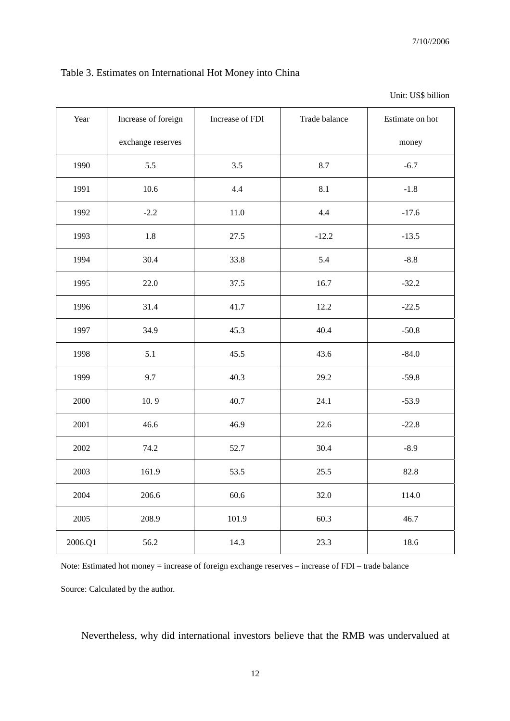# Table 3. Estimates on International Hot Money into China

| Year    | Increase of foreign | Increase of FDI | Trade balance | Estimate on hot |
|---------|---------------------|-----------------|---------------|-----------------|
|         | exchange reserves   |                 |               | money           |
| 1990    | 5.5                 | 3.5             | 8.7           | $-6.7$          |
| 1991    | 10.6                | 4.4             | 8.1           | $-1.8$          |
| 1992    | $-2.2$              | 11.0            | 4.4           | $-17.6$         |
| 1993    | 1.8                 | 27.5            | $-12.2$       | $-13.5$         |
| 1994    | 30.4                | 33.8            | 5.4           | $-8.8$          |
| 1995    | 22.0                | 37.5            | 16.7          | $-32.2$         |
| 1996    | 31.4                | 41.7            | 12.2          | $-22.5$         |
| 1997    | 34.9                | 45.3            | 40.4          | $-50.8$         |
| 1998    | 5.1                 | 45.5            | 43.6          | $-84.0$         |
| 1999    | 9.7                 | 40.3            | 29.2          | $-59.8$         |
| 2000    | 10.9                | 40.7            | 24.1          | $-53.9$         |
| 2001    | 46.6                | 46.9            | 22.6          | $-22.8$         |
| 2002    | 74.2                | 52.7            | 30.4          | $-8.9$          |
| 2003    | 161.9               | 53.5            | 25.5          | 82.8            |
| 2004    | 206.6               | 60.6            | 32.0          | 114.0           |
| 2005    | 208.9               | 101.9           | 60.3          | 46.7            |
| 2006.Q1 | 56.2                | 14.3            | 23.3          | 18.6            |

Unit: US\$ billion

Note: Estimated hot money = increase of foreign exchange reserves – increase of FDI – trade balance

Source: Calculated by the author.

Nevertheless, why did international investors believe that the RMB was undervalued at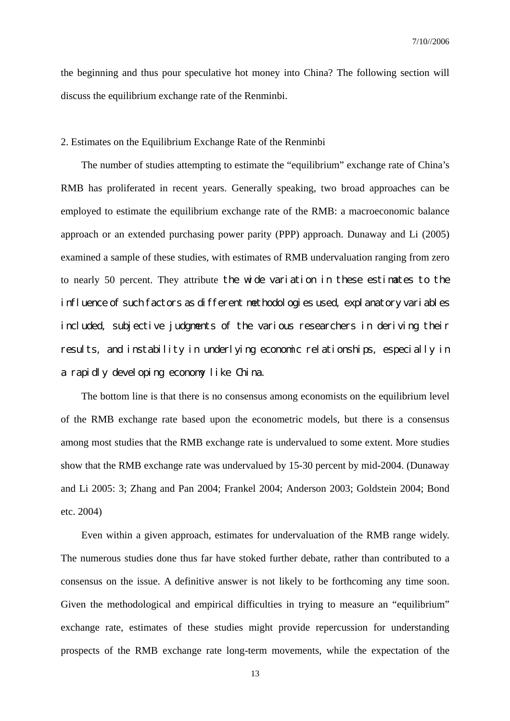the beginning and thus pour speculative hot money into China? The following section will discuss the equilibrium exchange rate of the Renminbi.

#### 2. Estimates on the Equilibrium Exchange Rate of the Renminbi

The number of studies attempting to estimate the "equilibrium" exchange rate of China's RMB has proliferated in recent years. Generally speaking, two broad approaches can be employed to estimate the equilibrium exchange rate of the RMB: a macroeconomic balance approach or an extended purchasing power parity (PPP) approach. Dunaway and Li (2005) examined a sample of these studies, with estimates of RMB undervaluation ranging from zero to nearly 50 percent. They attribute the wide variation in these estimates to the influence of such factors as different methodologies used, explanatory variables included, subjective judgments of the various researchers in deriving their results, and instability in underlying economic relationships, especially in a rapidly developing economy like China.

 The bottom line is that there is no consensus among economists on the equilibrium level of the RMB exchange rate based upon the econometric models, but there is a consensus among most studies that the RMB exchange rate is undervalued to some extent. More studies show that the RMB exchange rate was undervalued by 15-30 percent by mid-2004. (Dunaway and Li 2005: 3; Zhang and Pan 2004; Frankel 2004; Anderson 2003; Goldstein 2004; Bond etc. 2004)

Even within a given approach, estimates for undervaluation of the RMB range widely. The numerous studies done thus far have stoked further debate, rather than contributed to a consensus on the issue. A definitive answer is not likely to be forthcoming any time soon. Given the methodological and empirical difficulties in trying to measure an "equilibrium" exchange rate, estimates of these studies might provide repercussion for understanding prospects of the RMB exchange rate long-term movements, while the expectation of the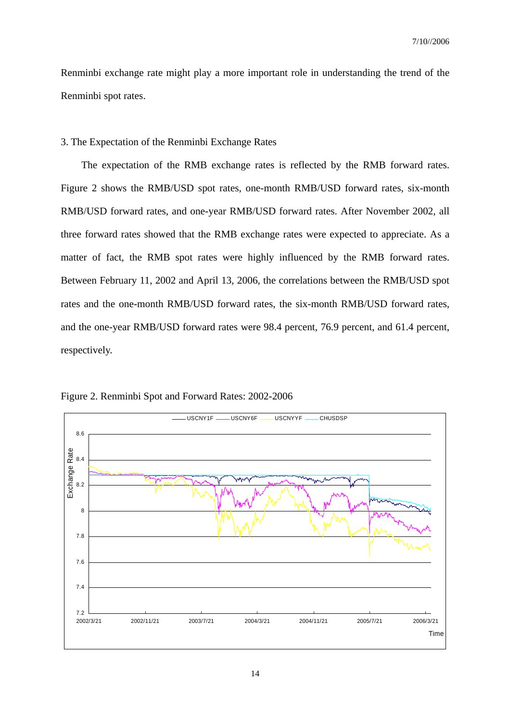Renminbi exchange rate might play a more important role in understanding the trend of the Renminbi spot rates.

3. The Expectation of the Renminbi Exchange Rates

 The expectation of the RMB exchange rates is reflected by the RMB forward rates. Figure 2 shows the RMB/USD spot rates, one-month RMB/USD forward rates, six-month RMB/USD forward rates, and one-year RMB/USD forward rates. After November 2002, all three forward rates showed that the RMB exchange rates were expected to appreciate. As a matter of fact, the RMB spot rates were highly influenced by the RMB forward rates. Between February 11, 2002 and April 13, 2006, the correlations between the RMB/USD spot rates and the one-month RMB/USD forward rates, the six-month RMB/USD forward rates, and the one-year RMB/USD forward rates were 98.4 percent, 76.9 percent, and 61.4 percent, respectively.



Figure 2. Renminbi Spot and Forward Rates: 2002-2006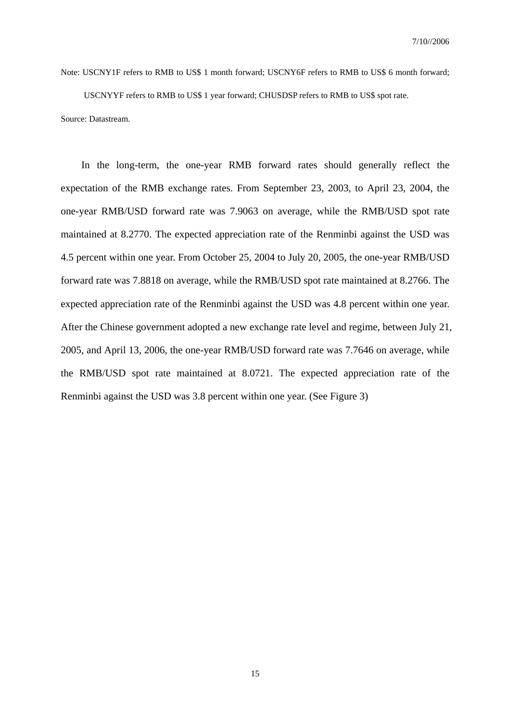Note: USCNY1F refers to RMB to US\$ 1 month forward; USCNY6F refers to RMB to US\$ 6 month forward;

USCNYYF refers to RMB to US\$ 1 year forward; CHUSDSP refers to RMB to US\$ spot rate. Source: Datastream.

In the long-term, the one-year RMB forward rates should generally reflect the expectation of the RMB exchange rates. From September 23, 2003, to April 23, 2004, the one-year RMB/USD forward rate was 7.9063 on average, while the RMB/USD spot rate maintained at 8.2770. The expected appreciation rate of the Renminbi against the USD was 4.5 percent within one year. From October 25, 2004 to July 20, 2005, the one-year RMB/USD forward rate was 7.8818 on average, while the RMB/USD spot rate maintained at 8.2766. The expected appreciation rate of the Renminbi against the USD was 4.8 percent within one year. After the Chinese government adopted a new exchange rate level and regime, between July 21, 2005, and April 13, 2006, the one-year RMB/USD forward rate was 7.7646 on average, while the RMB/USD spot rate maintained at 8.0721. The expected appreciation rate of the Renminbi against the USD was 3.8 percent within one year. (See Figure 3)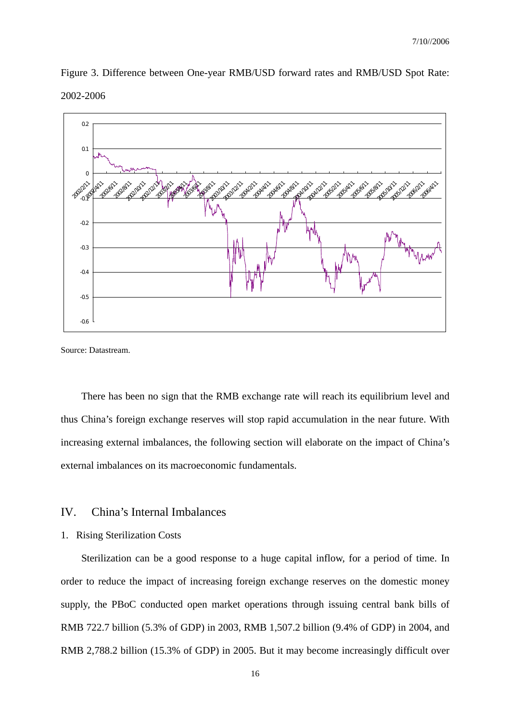



Source: Datastream.

There has been no sign that the RMB exchange rate will reach its equilibrium level and thus China's foreign exchange reserves will stop rapid accumulation in the near future. With increasing external imbalances, the following section will elaborate on the impact of China's external imbalances on its macroeconomic fundamentals.

# IV. China's Internal Imbalances

### 1. Rising Sterilization Costs

Sterilization can be a good response to a huge capital inflow, for a period of time. In order to reduce the impact of increasing foreign exchange reserves on the domestic money supply, the PBoC conducted open market operations through issuing central bank bills of RMB 722.7 billion (5.3% of GDP) in 2003, RMB 1,507.2 billion (9.4% of GDP) in 2004, and RMB 2,788.2 billion (15.3% of GDP) in 2005. But it may become increasingly difficult over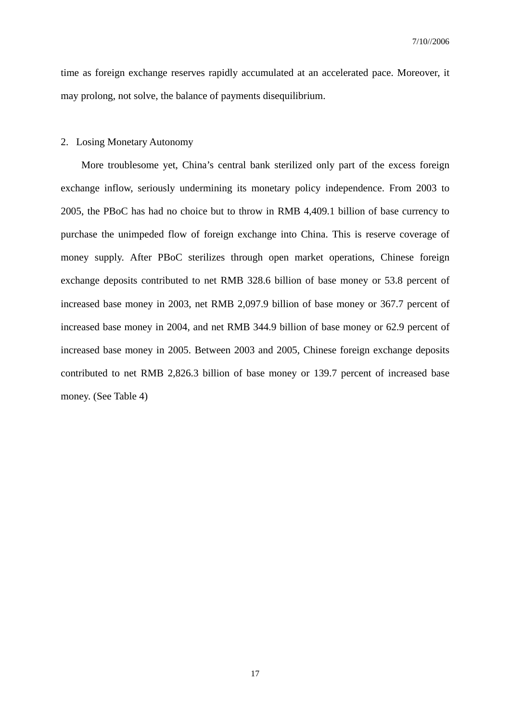time as foreign exchange reserves rapidly accumulated at an accelerated pace. Moreover, it may prolong, not solve, the balance of payments disequilibrium.

#### 2. Losing Monetary Autonomy

More troublesome yet, China's central bank sterilized only part of the excess foreign exchange inflow, seriously undermining its monetary policy independence. From 2003 to 2005, the PBoC has had no choice but to throw in RMB 4,409.1 billion of base currency to purchase the unimpeded flow of foreign exchange into China. This is reserve coverage of money supply. After PBoC sterilizes through open market operations, Chinese foreign exchange deposits contributed to net RMB 328.6 billion of base money or 53.8 percent of increased base money in 2003, net RMB 2,097.9 billion of base money or 367.7 percent of increased base money in 2004, and net RMB 344.9 billion of base money or 62.9 percent of increased base money in 2005. Between 2003 and 2005, Chinese foreign exchange deposits contributed to net RMB 2,826.3 billion of base money or 139.7 percent of increased base money. (See Table 4)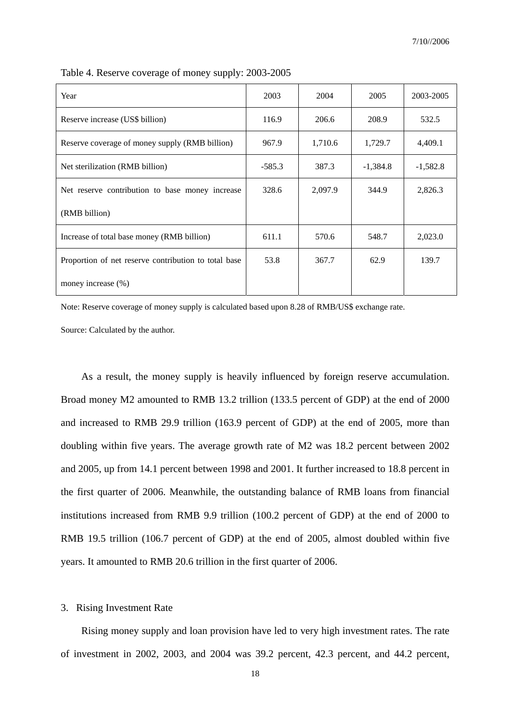| Year                                                 | 2003     | 2004    | 2005       | 2003-2005  |
|------------------------------------------------------|----------|---------|------------|------------|
| Reserve increase (US\$ billion)                      | 116.9    | 206.6   | 208.9      | 532.5      |
| Reserve coverage of money supply (RMB billion)       | 967.9    | 1,710.6 | 1,729.7    | 4,409.1    |
| Net sterilization (RMB billion)                      | $-585.3$ | 387.3   | $-1,384.8$ | $-1,582.8$ |
| Net reserve contribution to base money increase      | 328.6    | 2,097.9 | 344.9      | 2,826.3    |
| (RMB billion)                                        |          |         |            |            |
| Increase of total base money (RMB billion)           | 611.1    | 570.6   | 548.7      | 2,023.0    |
| Proportion of net reserve contribution to total base | 53.8     | 367.7   | 62.9       | 139.7      |
| money increase (%)                                   |          |         |            |            |

Table 4. Reserve coverage of money supply: 2003-2005

Note: Reserve coverage of money supply is calculated based upon 8.28 of RMB/US\$ exchange rate.

Source: Calculated by the author.

As a result, the money supply is heavily influenced by foreign reserve accumulation. Broad money M2 amounted to RMB 13.2 trillion (133.5 percent of GDP) at the end of 2000 and increased to RMB 29.9 trillion (163.9 percent of GDP) at the end of 2005, more than doubling within five years. The average growth rate of M2 was 18.2 percent between 2002 and 2005, up from 14.1 percent between 1998 and 2001. It further increased to 18.8 percent in the first quarter of 2006. Meanwhile, the outstanding balance of RMB loans from financial institutions increased from RMB 9.9 trillion (100.2 percent of GDP) at the end of 2000 to RMB 19.5 trillion (106.7 percent of GDP) at the end of 2005, almost doubled within five years. It amounted to RMB 20.6 trillion in the first quarter of 2006.

#### 3. Rising Investment Rate

Rising money supply and loan provision have led to very high investment rates. The rate of investment in 2002, 2003, and 2004 was 39.2 percent, 42.3 percent, and 44.2 percent,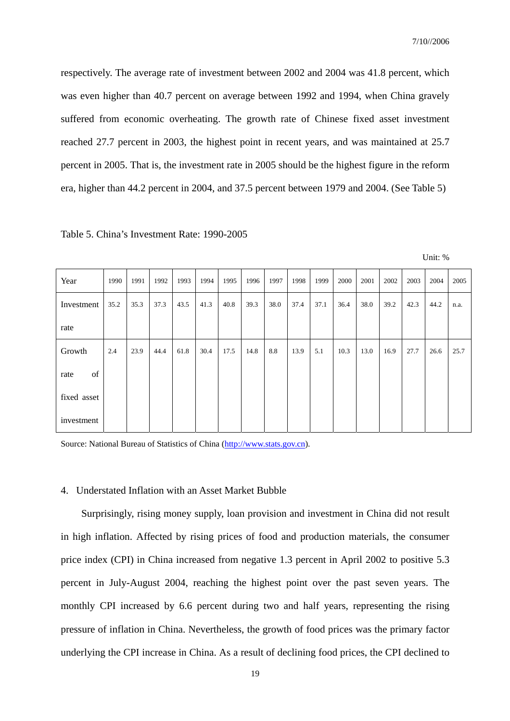respectively. The average rate of investment between 2002 and 2004 was 41.8 percent, which was even higher than 40.7 percent on average between 1992 and 1994, when China gravely suffered from economic overheating. The growth rate of Chinese fixed asset investment reached 27.7 percent in 2003, the highest point in recent years, and was maintained at 25.7 percent in 2005. That is, the investment rate in 2005 should be the highest figure in the reform era, higher than 44.2 percent in 2004, and 37.5 percent between 1979 and 2004. (See Table 5)

| Year        | 1990 | 1991 | 1992 | 1993 | 1994 | 1995 | 1996 | 1997 | 1998 | 1999 | 2000 | 2001 | 2002 | 2003 | 2004 | 2005 |
|-------------|------|------|------|------|------|------|------|------|------|------|------|------|------|------|------|------|
| Investment  | 35.2 | 35.3 | 37.3 | 43.5 | 41.3 | 40.8 | 39.3 | 38.0 | 37.4 | 37.1 | 36.4 | 38.0 | 39.2 | 42.3 | 44.2 | n.a. |
| rate        |      |      |      |      |      |      |      |      |      |      |      |      |      |      |      |      |
| Growth      | 2.4  | 23.9 | 44.4 | 61.8 | 30.4 | 17.5 | 14.8 | 8.8  | 13.9 | 5.1  | 10.3 | 13.0 | 16.9 | 27.7 | 26.6 | 25.7 |
| of<br>rate  |      |      |      |      |      |      |      |      |      |      |      |      |      |      |      |      |
| fixed asset |      |      |      |      |      |      |      |      |      |      |      |      |      |      |      |      |
| investment  |      |      |      |      |      |      |      |      |      |      |      |      |      |      |      |      |

Table 5. China's Investment Rate: 1990-2005

Unit: %

Source: National Bureau of Statistics of China (http://www.stats.gov.cn).

#### 4. Understated Inflation with an Asset Market Bubble

Surprisingly, rising money supply, loan provision and investment in China did not result in high inflation. Affected by rising prices of food and production materials, the consumer price index (CPI) in China increased from negative 1.3 percent in April 2002 to positive 5.3 percent in July-August 2004, reaching the highest point over the past seven years. The monthly CPI increased by 6.6 percent during two and half years, representing the rising pressure of inflation in China. Nevertheless, the growth of food prices was the primary factor underlying the CPI increase in China. As a result of declining food prices, the CPI declined to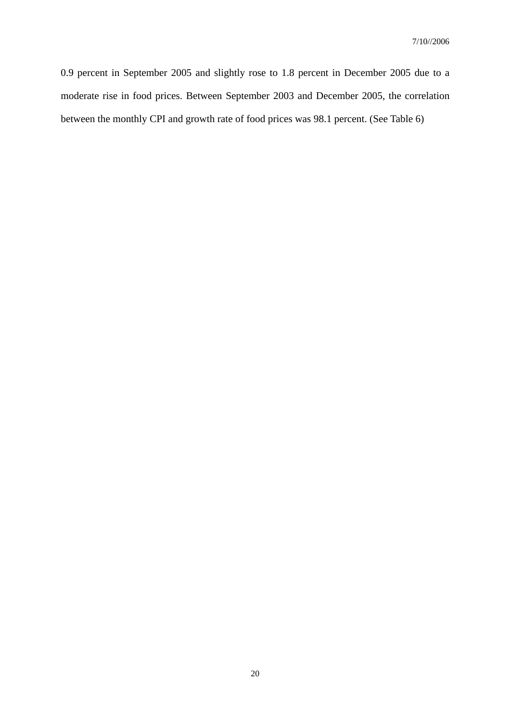0.9 percent in September 2005 and slightly rose to 1.8 percent in December 2005 due to a moderate rise in food prices. Between September 2003 and December 2005, the correlation between the monthly CPI and growth rate of food prices was 98.1 percent. (See Table 6)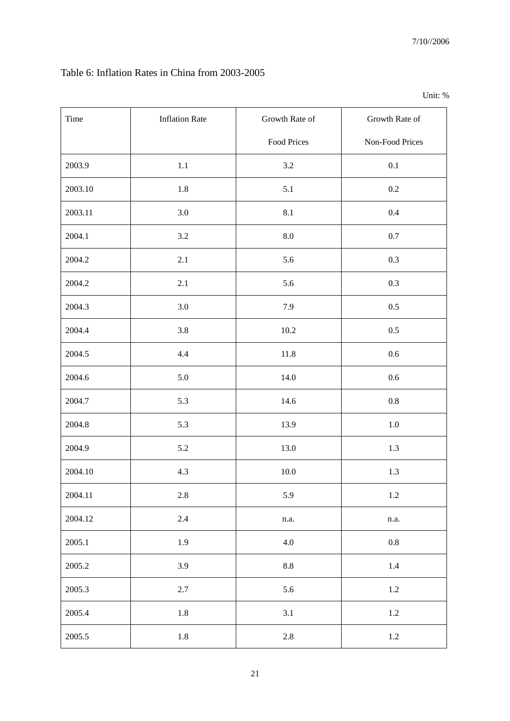# Table 6: Inflation Rates in China from 2003-2005

| $^{\prime\prime}$<br>'nır' |
|----------------------------|
|----------------------------|

| Time    | <b>Inflation Rate</b> | Growth Rate of | Growth Rate of  |
|---------|-----------------------|----------------|-----------------|
|         |                       | Food Prices    | Non-Food Prices |
| 2003.9  | 1.1                   | 3.2            | 0.1             |
| 2003.10 | 1.8                   | 5.1            | 0.2             |
| 2003.11 | 3.0                   | 8.1            | 0.4             |
| 2004.1  | 3.2                   | 8.0            | $0.7\,$         |
| 2004.2  | $2.1\,$               | 5.6            | 0.3             |
| 2004.2  | 2.1                   | 5.6            | 0.3             |
| 2004.3  | 3.0                   | 7.9            | $0.5\,$         |
| 2004.4  | 3.8                   | $10.2\,$       | 0.5             |
| 2004.5  | 4.4                   | $11.8\,$       | 0.6             |
| 2004.6  | 5.0                   | 14.0           | $0.6\,$         |
| 2004.7  | 5.3                   | 14.6           | $0.8\,$         |
| 2004.8  | 5.3                   | 13.9           | $1.0\,$         |
| 2004.9  | $5.2\,$               | 13.0           | 1.3             |
| 2004.10 | 4.3                   | $10.0\,$       | 1.3             |
| 2004.11 | $2.8\,$               | 5.9            | $1.2\,$         |
| 2004.12 | $2.4\,$               | n.a.           | $\rm n.a.$      |
| 2005.1  | 1.9                   | $4.0\,$        | $0.8\,$         |
| 2005.2  | 3.9                   | $\ \, 8.8$     | $1.4\,$         |
| 2005.3  | $2.7\,$               | 5.6            | $1.2\,$         |
| 2005.4  | $1.8\,$               | 3.1            | $1.2\,$         |
| 2005.5  | $1.8\,$               | $2.8\,$        | $1.2\,$         |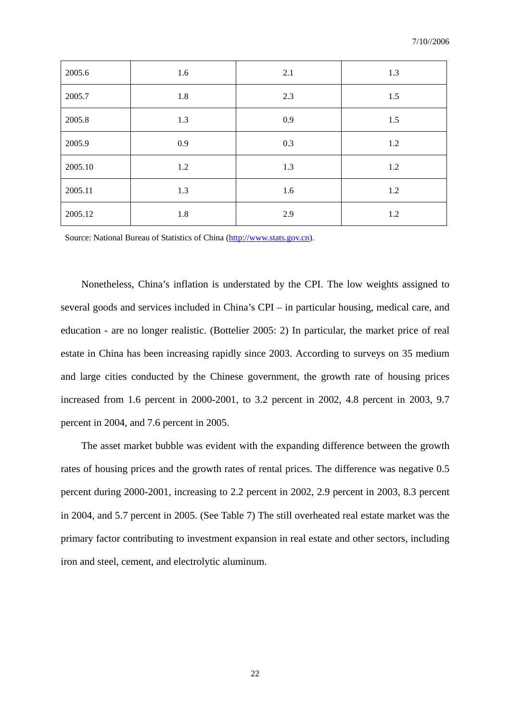| 2005.6  | 1.6 | 2.1 | 1.3 |
|---------|-----|-----|-----|
| 2005.7  | 1.8 | 2.3 | 1.5 |
| 2005.8  | 1.3 | 0.9 | 1.5 |
| 2005.9  | 0.9 | 0.3 | 1.2 |
| 2005.10 | 1.2 | 1.3 | 1.2 |
| 2005.11 | 1.3 | 1.6 | 1.2 |
| 2005.12 | 1.8 | 2.9 | 1.2 |

Source: National Bureau of Statistics of China (http://www.stats.gov.cn).

Nonetheless, China's inflation is understated by the CPI. The low weights assigned to several goods and services included in China's CPI – in particular housing, medical care, and education - are no longer realistic. (Bottelier 2005: 2) In particular, the market price of real estate in China has been increasing rapidly since 2003. According to surveys on 35 medium and large cities conducted by the Chinese government, the growth rate of housing prices increased from 1.6 percent in 2000-2001, to 3.2 percent in 2002, 4.8 percent in 2003, 9.7 percent in 2004, and 7.6 percent in 2005.

The asset market bubble was evident with the expanding difference between the growth rates of housing prices and the growth rates of rental prices. The difference was negative 0.5 percent during 2000-2001, increasing to 2.2 percent in 2002, 2.9 percent in 2003, 8.3 percent in 2004, and 5.7 percent in 2005. (See Table 7) The still overheated real estate market was the primary factor contributing to investment expansion in real estate and other sectors, including iron and steel, cement, and electrolytic aluminum.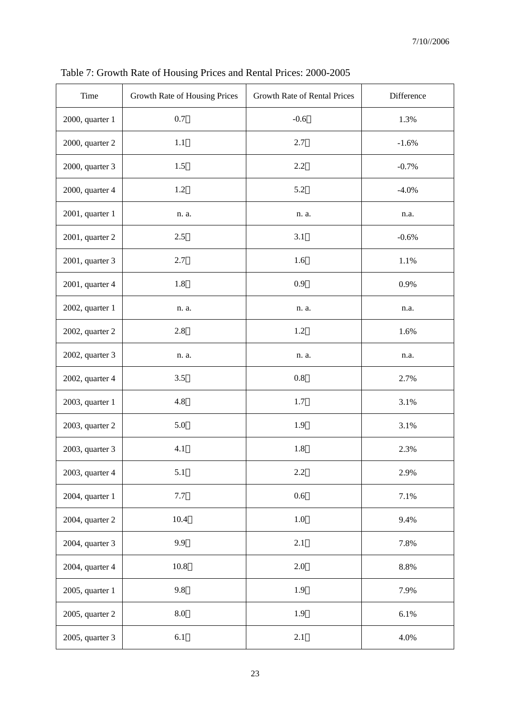| Time            | Growth Rate of Housing Prices | Growth Rate of Rental Prices | Difference |
|-----------------|-------------------------------|------------------------------|------------|
| 2000, quarter 1 | 0.7                           | $-0.6$                       | 1.3%       |
| 2000, quarter 2 | 1.1                           | 2.7                          | $-1.6%$    |
| 2000, quarter 3 | 1.5                           | 2.2                          | $-0.7%$    |
| 2000, quarter 4 | 1.2                           | 5.2                          | $-4.0%$    |
| 2001, quarter 1 | n. a.                         | n. a.                        | n.a.       |
| 2001, quarter 2 | 2.5                           | 3.1                          | $-0.6%$    |
| 2001, quarter 3 | 2.7                           | 1.6                          | $1.1\%$    |
| 2001, quarter 4 | 1.8                           | 0.9                          | 0.9%       |
| 2002, quarter 1 | n. a.                         | n. a.                        | n.a.       |
| 2002, quarter 2 | 2.8                           | 1.2                          | 1.6%       |
| 2002, quarter 3 | n. a.                         | n. a.                        | n.a.       |
| 2002, quarter 4 | 3.5                           | $0.8\,$                      | 2.7%       |
| 2003, quarter 1 | 4.8                           | 1.7                          | 3.1%       |
| 2003, quarter 2 | 5.0                           | 1.9                          | 3.1%       |
| 2003, quarter 3 | 4.1                           | 1.8                          | 2.3%       |
| 2003, quarter 4 | 5.1                           | $2.2\,$                      | 2.9%       |
| 2004, quarter 1 | 7.7                           | 0.6                          | 7.1%       |
| 2004, quarter 2 | 10.4                          | $1.0\,$                      | 9.4%       |
| 2004, quarter 3 | 9.9                           | $2.1\,$                      | 7.8%       |
| 2004, quarter 4 | 10.8                          | 2.0                          | $8.8\%$    |
| 2005, quarter 1 | 9.8                           | 1.9                          | 7.9%       |
| 2005, quarter 2 | $\rm 8.0$                     | 1.9                          | 6.1%       |
| 2005, quarter 3 | 6.1                           | 2.1                          | 4.0%       |

Table 7: Growth Rate of Housing Prices and Rental Prices: 2000-2005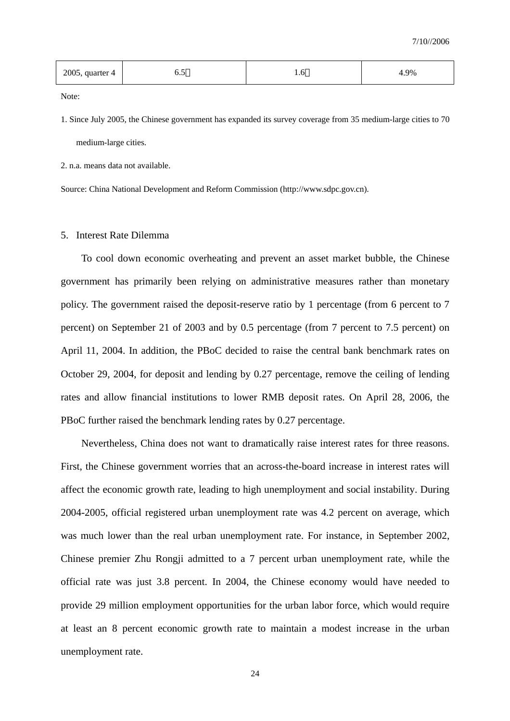| 2005, quarter 4 | ◡.◡ | .<br>$ -$ | .9% |
|-----------------|-----|-----------|-----|
|-----------------|-----|-----------|-----|

Note:

1. Since July 2005, the Chinese government has expanded its survey coverage from 35 medium-large cities to 70 medium-large cities.

2. n.a. means data not available.

Source: China National Development and Reform Commission (http://www.sdpc.gov.cn).

#### 5. Interest Rate Dilemma

To cool down economic overheating and prevent an asset market bubble, the Chinese government has primarily been relying on administrative measures rather than monetary policy. The government raised the deposit-reserve ratio by 1 percentage (from 6 percent to 7 percent) on September 21 of 2003 and by 0.5 percentage (from 7 percent to 7.5 percent) on April 11, 2004. In addition, the PBoC decided to raise the central bank benchmark rates on October 29, 2004, for deposit and lending by 0.27 percentage, remove the ceiling of lending rates and allow financial institutions to lower RMB deposit rates. On April 28, 2006, the PBoC further raised the benchmark lending rates by 0.27 percentage.

Nevertheless, China does not want to dramatically raise interest rates for three reasons. First, the Chinese government worries that an across-the-board increase in interest rates will affect the economic growth rate, leading to high unemployment and social instability. During 2004-2005, official registered urban unemployment rate was 4.2 percent on average, which was much lower than the real urban unemployment rate. For instance, in September 2002, Chinese premier Zhu Rongji admitted to a 7 percent urban unemployment rate, while the official rate was just 3.8 percent. In 2004, the Chinese economy would have needed to provide 29 million employment opportunities for the urban labor force, which would require at least an 8 percent economic growth rate to maintain a modest increase in the urban unemployment rate.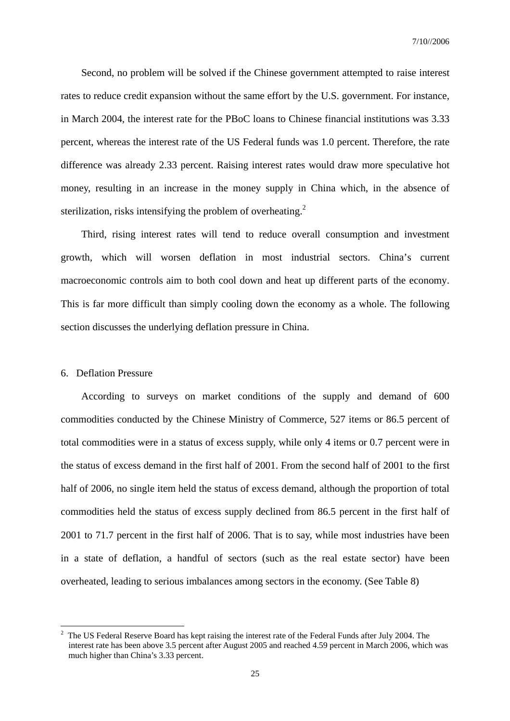Second, no problem will be solved if the Chinese government attempted to raise interest rates to reduce credit expansion without the same effort by the U.S. government. For instance, in March 2004, the interest rate for the PBoC loans to Chinese financial institutions was 3.33 percent, whereas the interest rate of the US Federal funds was 1.0 percent. Therefore, the rate difference was already 2.33 percent. Raising interest rates would draw more speculative hot money, resulting in an increase in the money supply in China which, in the absence of sterilization, risks intensifying the problem of overheating.<sup>2</sup>

Third, rising interest rates will tend to reduce overall consumption and investment growth, which will worsen deflation in most industrial sectors. China's current macroeconomic controls aim to both cool down and heat up different parts of the economy. This is far more difficult than simply cooling down the economy as a whole. The following section discusses the underlying deflation pressure in China.

#### 6. Deflation Pressure

 $\overline{a}$ 

According to surveys on market conditions of the supply and demand of 600 commodities conducted by the Chinese Ministry of Commerce, 527 items or 86.5 percent of total commodities were in a status of excess supply, while only 4 items or 0.7 percent were in the status of excess demand in the first half of 2001. From the second half of 2001 to the first half of 2006, no single item held the status of excess demand, although the proportion of total commodities held the status of excess supply declined from 86.5 percent in the first half of 2001 to 71.7 percent in the first half of 2006. That is to say, while most industries have been in a state of deflation, a handful of sectors (such as the real estate sector) have been overheated, leading to serious imbalances among sectors in the economy. (See Table 8)

<sup>2</sup> The US Federal Reserve Board has kept raising the interest rate of the Federal Funds after July 2004. The interest rate has been above 3.5 percent after August 2005 and reached 4.59 percent in March 2006, which was much higher than China's 3.33 percent.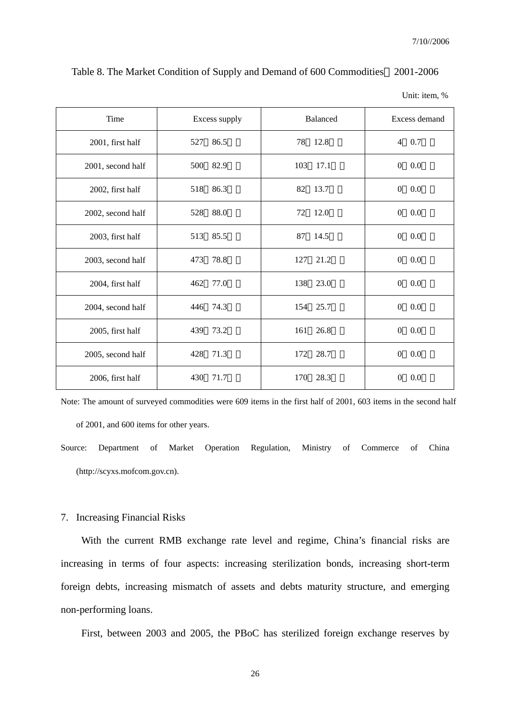| Time              | Excess supply | <b>Balanced</b> | Excess demand         |
|-------------------|---------------|-----------------|-----------------------|
| 2001, first half  | 86.5          | 78              | 0.7                   |
|                   | 527           | 12.8            | $\overline{4}$        |
| 2001, second half | 500           | 103             | 0.0                   |
|                   | 82.9          | 17.1            | $\theta$              |
| 2002, first half  | 518           | 82              | 0.0                   |
|                   | 86.3          | 13.7            | $\overline{0}$        |
| 2002, second half | 88.0          | 72              | 0.0                   |
|                   | 528           | 12.0            | $\theta$              |
| 2003, first half  | 513           | 87              | 0.0                   |
|                   | 85.5          | 14.5            | $\overline{0}$        |
| 2003, second half | 78.8          | 21.2            | 0.0                   |
|                   | 473           | 127             | $\mathbf{0}$          |
| 2004, first half  | 77.0<br>462   | 138 23.0        | 0.0<br>$\overline{0}$ |
| 2004, second half | 446 74.3      | 154 25.7        | 0.0<br>$\mathbf{0}$   |
| 2005, first half  | 73.2          | 161             | 0.0                   |
|                   | 439           | 26.8            | $\boldsymbol{0}$      |
| 2005, second half | 428           | 172             | 0.0                   |
|                   | 71.3          | 28.7            | $\boldsymbol{0}$      |
| 2006, first half  | 430           | 28.3            | $\overline{0}$        |
|                   | 71.7          | 170             | 0.0                   |

Table 8. The Market Condition of Supply and Demand of 600 Commodities 2001-2006

#### 7. Increasing Financial Risks

 With the current RMB exchange rate level and regime, China's financial risks are increasing in terms of four aspects: increasing sterilization bonds, increasing short-term foreign debts, increasing mismatch of assets and debts maturity structure, and emerging non-performing loans.

First, between 2003 and 2005, the PBoC has sterilized foreign exchange reserves by

Unit: item, %

Note: The amount of surveyed commodities were 609 items in the first half of 2001, 603 items in the second half of 2001, and 600 items for other years.

Source: Department of Market Operation Regulation, Ministry of Commerce of China (http://scyxs.mofcom.gov.cn).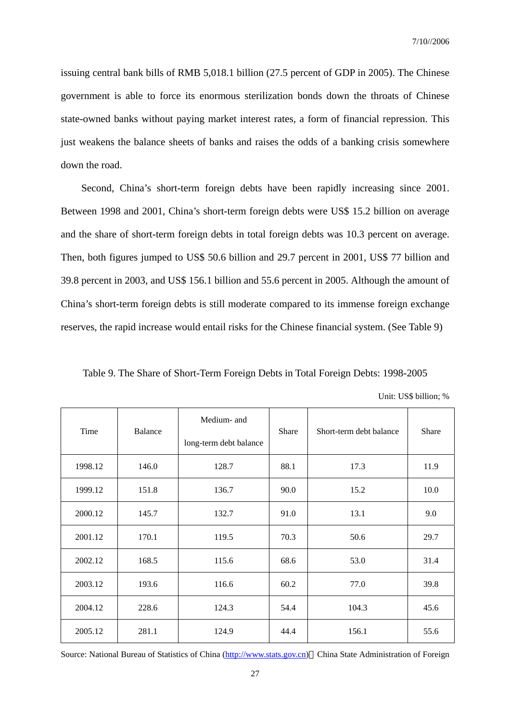issuing central bank bills of RMB 5,018.1 billion (27.5 percent of GDP in 2005). The Chinese government is able to force its enormous sterilization bonds down the throats of Chinese state-owned banks without paying market interest rates, a form of financial repression. This just weakens the balance sheets of banks and raises the odds of a banking crisis somewhere down the road.

 Second, China's short-term foreign debts have been rapidly increasing since 2001. Between 1998 and 2001, China's short-term foreign debts were US\$ 15.2 billion on average and the share of short-term foreign debts in total foreign debts was 10.3 percent on average. Then, both figures jumped to US\$ 50.6 billion and 29.7 percent in 2001, US\$ 77 billion and 39.8 percent in 2003, and US\$ 156.1 billion and 55.6 percent in 2005. Although the amount of China's short-term foreign debts is still moderate compared to its immense foreign exchange reserves, the rapid increase would entail risks for the Chinese financial system. (See Table 9)

Table 9. The Share of Short-Term Foreign Debts in Total Foreign Debts: 1998-2005

|  |  | Unit: US\$ billion; % |  |
|--|--|-----------------------|--|
|--|--|-----------------------|--|

| Time    | Balance | Medium- and            | <b>Share</b> | Short-term debt balance | Share |  |
|---------|---------|------------------------|--------------|-------------------------|-------|--|
|         |         | long-term debt balance |              |                         |       |  |
| 1998.12 | 146.0   | 128.7                  | 88.1         | 17.3                    | 11.9  |  |
| 1999.12 | 151.8   | 136.7                  | 90.0         | 15.2                    | 10.0  |  |
| 2000.12 | 145.7   | 132.7                  | 91.0         | 13.1                    | 9.0   |  |
| 2001.12 | 170.1   | 119.5                  | 70.3         | 50.6                    | 29.7  |  |
| 2002.12 | 168.5   | 115.6                  | 68.6         | 53.0                    | 31.4  |  |
| 2003.12 | 193.6   | 116.6                  | 60.2         | 77.0                    | 39.8  |  |
| 2004.12 | 228.6   | 124.3                  | 54.4         | 104.3                   | 45.6  |  |
| 2005.12 | 281.1   | 124.9                  | 44.4         | 156.1                   | 55.6  |  |

Source: National Bureau of Statistics of China (http://www.stats.gov.cn) China State Administration of Foreign

27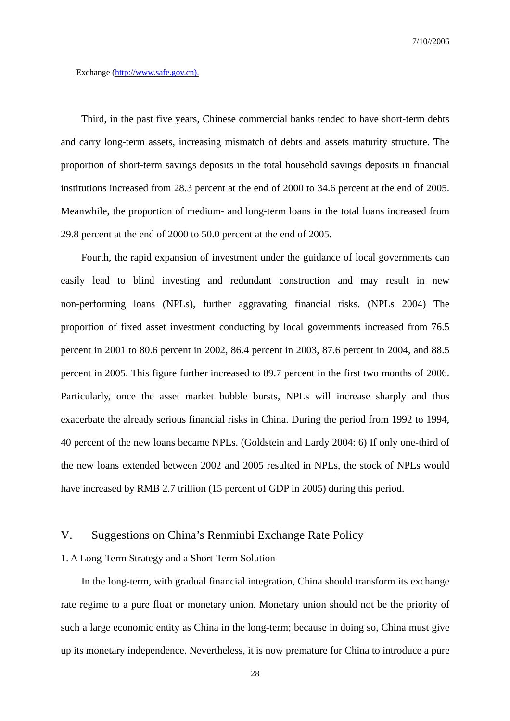Exchange (http://www.safe.gov.cn).

 Third, in the past five years, Chinese commercial banks tended to have short-term debts and carry long-term assets, increasing mismatch of debts and assets maturity structure. The proportion of short-term savings deposits in the total household savings deposits in financial institutions increased from 28.3 percent at the end of 2000 to 34.6 percent at the end of 2005. Meanwhile, the proportion of medium- and long-term loans in the total loans increased from 29.8 percent at the end of 2000 to 50.0 percent at the end of 2005.

Fourth, the rapid expansion of investment under the guidance of local governments can easily lead to blind investing and redundant construction and may result in new non-performing loans (NPLs), further aggravating financial risks. (NPLs 2004) The proportion of fixed asset investment conducting by local governments increased from 76.5 percent in 2001 to 80.6 percent in 2002, 86.4 percent in 2003, 87.6 percent in 2004, and 88.5 percent in 2005. This figure further increased to 89.7 percent in the first two months of 2006. Particularly, once the asset market bubble bursts, NPLs will increase sharply and thus exacerbate the already serious financial risks in China. During the period from 1992 to 1994, 40 percent of the new loans became NPLs. (Goldstein and Lardy 2004: 6) If only one-third of the new loans extended between 2002 and 2005 resulted in NPLs, the stock of NPLs would have increased by RMB 2.7 trillion (15 percent of GDP in 2005) during this period.

## V. Suggestions on China's Renminbi Exchange Rate Policy

#### 1. A Long-Term Strategy and a Short-Term Solution

In the long-term, with gradual financial integration, China should transform its exchange rate regime to a pure float or monetary union. Monetary union should not be the priority of such a large economic entity as China in the long-term; because in doing so, China must give up its monetary independence. Nevertheless, it is now premature for China to introduce a pure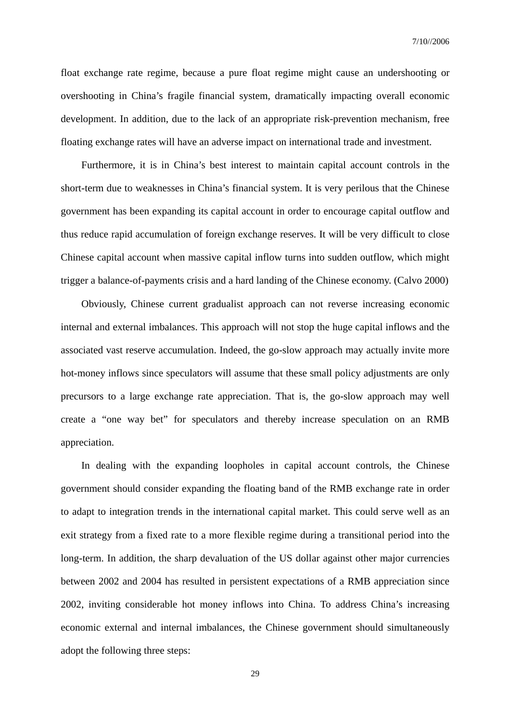float exchange rate regime, because a pure float regime might cause an undershooting or overshooting in China's fragile financial system, dramatically impacting overall economic development. In addition, due to the lack of an appropriate risk-prevention mechanism, free floating exchange rates will have an adverse impact on international trade and investment.

Furthermore, it is in China's best interest to maintain capital account controls in the short-term due to weaknesses in China's financial system. It is very perilous that the Chinese government has been expanding its capital account in order to encourage capital outflow and thus reduce rapid accumulation of foreign exchange reserves. It will be very difficult to close Chinese capital account when massive capital inflow turns into sudden outflow, which might trigger a balance-of-payments crisis and a hard landing of the Chinese economy. (Calvo 2000)

Obviously, Chinese current gradualist approach can not reverse increasing economic internal and external imbalances. This approach will not stop the huge capital inflows and the associated vast reserve accumulation. Indeed, the go-slow approach may actually invite more hot-money inflows since speculators will assume that these small policy adjustments are only precursors to a large exchange rate appreciation. That is, the go-slow approach may well create a "one way bet" for speculators and thereby increase speculation on an RMB appreciation.

In dealing with the expanding loopholes in capital account controls, the Chinese government should consider expanding the floating band of the RMB exchange rate in order to adapt to integration trends in the international capital market. This could serve well as an exit strategy from a fixed rate to a more flexible regime during a transitional period into the long-term. In addition, the sharp devaluation of the US dollar against other major currencies between 2002 and 2004 has resulted in persistent expectations of a RMB appreciation since 2002, inviting considerable hot money inflows into China. To address China's increasing economic external and internal imbalances, the Chinese government should simultaneously adopt the following three steps: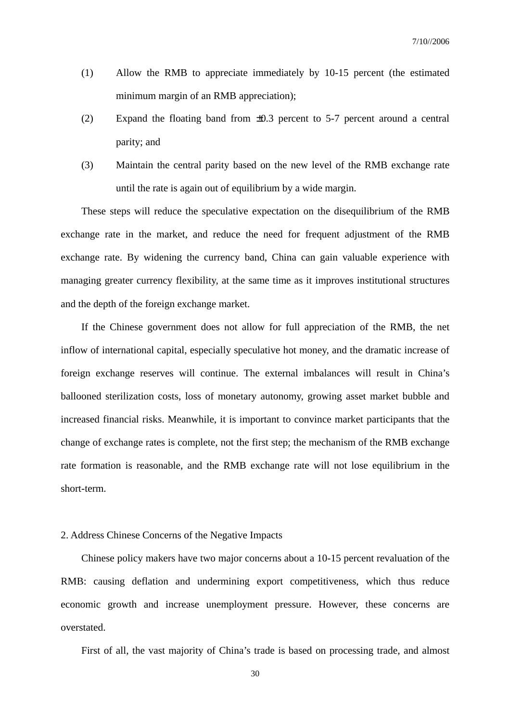- (1) Allow the RMB to appreciate immediately by 10-15 percent (the estimated minimum margin of an RMB appreciation);
- (2) Expand the floating band from ±0.3 percent to 5-7 percent around a central parity; and
- (3) Maintain the central parity based on the new level of the RMB exchange rate until the rate is again out of equilibrium by a wide margin.

These steps will reduce the speculative expectation on the disequilibrium of the RMB exchange rate in the market, and reduce the need for frequent adjustment of the RMB exchange rate. By widening the currency band, China can gain valuable experience with managing greater currency flexibility, at the same time as it improves institutional structures and the depth of the foreign exchange market.

If the Chinese government does not allow for full appreciation of the RMB, the net inflow of international capital, especially speculative hot money, and the dramatic increase of foreign exchange reserves will continue. The external imbalances will result in China's ballooned sterilization costs, loss of monetary autonomy, growing asset market bubble and increased financial risks. Meanwhile, it is important to convince market participants that the change of exchange rates is complete, not the first step; the mechanism of the RMB exchange rate formation is reasonable, and the RMB exchange rate will not lose equilibrium in the short-term.

### 2. Address Chinese Concerns of the Negative Impacts

Chinese policy makers have two major concerns about a 10-15 percent revaluation of the RMB: causing deflation and undermining export competitiveness, which thus reduce economic growth and increase unemployment pressure. However, these concerns are overstated.

First of all, the vast majority of China's trade is based on processing trade, and almost

30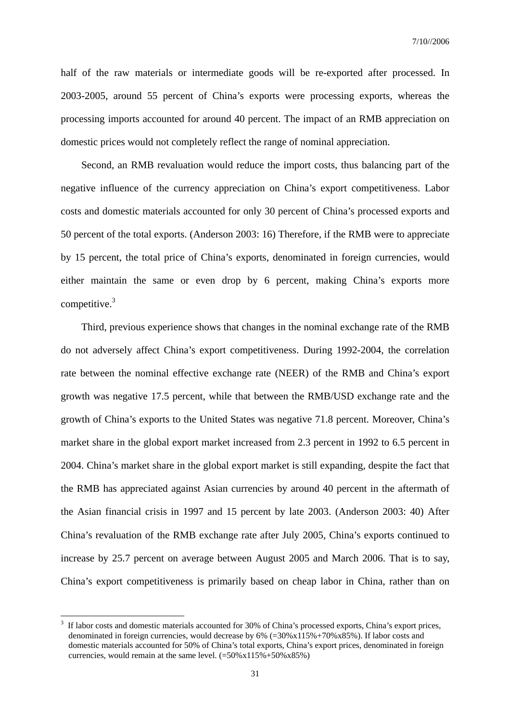half of the raw materials or intermediate goods will be re-exported after processed. In 2003-2005, around 55 percent of China's exports were processing exports, whereas the processing imports accounted for around 40 percent. The impact of an RMB appreciation on domestic prices would not completely reflect the range of nominal appreciation.

Second, an RMB revaluation would reduce the import costs, thus balancing part of the negative influence of the currency appreciation on China's export competitiveness. Labor costs and domestic materials accounted for only 30 percent of China's processed exports and 50 percent of the total exports. (Anderson 2003: 16) Therefore, if the RMB were to appreciate by 15 percent, the total price of China's exports, denominated in foreign currencies, would either maintain the same or even drop by 6 percent, making China's exports more competitive. $3$ 

Third, previous experience shows that changes in the nominal exchange rate of the RMB do not adversely affect China's export competitiveness. During 1992-2004, the correlation rate between the nominal effective exchange rate (NEER) of the RMB and China's export growth was negative 17.5 percent, while that between the RMB/USD exchange rate and the growth of China's exports to the United States was negative 71.8 percent. Moreover, China's market share in the global export market increased from 2.3 percent in 1992 to 6.5 percent in 2004. China's market share in the global export market is still expanding, despite the fact that the RMB has appreciated against Asian currencies by around 40 percent in the aftermath of the Asian financial crisis in 1997 and 15 percent by late 2003. (Anderson 2003: 40) After China's revaluation of the RMB exchange rate after July 2005, China's exports continued to increase by 25.7 percent on average between August 2005 and March 2006. That is to say, China's export competitiveness is primarily based on cheap labor in China, rather than on

 $\overline{a}$ 

<sup>3</sup> If labor costs and domestic materials accounted for 30% of China's processed exports, China's export prices, denominated in foreign currencies, would decrease by 6% (=30%x115%+70%x85%). If labor costs and domestic materials accounted for 50% of China's total exports, China's export prices, denominated in foreign currencies, would remain at the same level.  $(=50\% \times 115\% + 50\% \times 85\%)$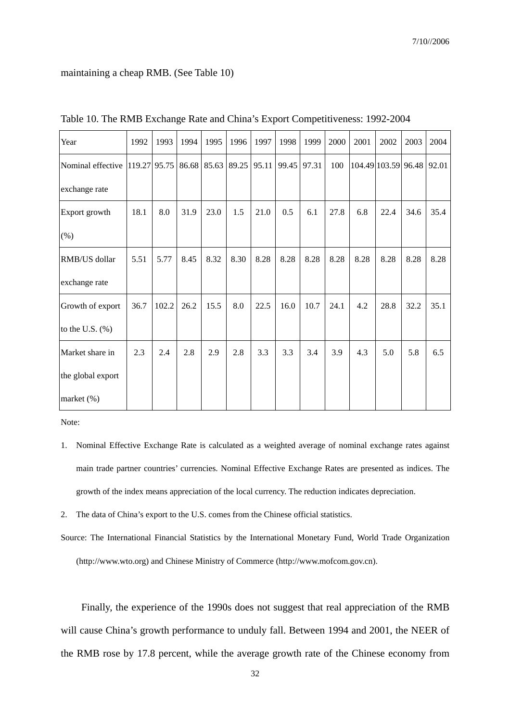#### maintaining a cheap RMB. (See Table 10)

| Year                           | 1992 | 1993  | 1994 | 1995              | 1996 | 1997  | 1998  | 1999  | 2000 | 2001                | 2002 | 2003 | 2004  |
|--------------------------------|------|-------|------|-------------------|------|-------|-------|-------|------|---------------------|------|------|-------|
| Nominal effective 119.27 95.75 |      |       |      | 86.68 85.63 89.25 |      | 95.11 | 99.45 | 97.31 | 100  | 104.49 103.59 96.48 |      |      | 92.01 |
| exchange rate                  |      |       |      |                   |      |       |       |       |      |                     |      |      |       |
| Export growth                  | 18.1 | 8.0   | 31.9 | 23.0              | 1.5  | 21.0  | 0.5   | 6.1   | 27.8 | 6.8                 | 22.4 | 34.6 | 35.4  |
| (% )                           |      |       |      |                   |      |       |       |       |      |                     |      |      |       |
| RMB/US dollar                  | 5.51 | 5.77  | 8.45 | 8.32              | 8.30 | 8.28  | 8.28  | 8.28  | 8.28 | 8.28                | 8.28 | 8.28 | 8.28  |
| exchange rate                  |      |       |      |                   |      |       |       |       |      |                     |      |      |       |
| Growth of export               | 36.7 | 102.2 | 26.2 | 15.5              | 8.0  | 22.5  | 16.0  | 10.7  | 24.1 | 4.2                 | 28.8 | 32.2 | 35.1  |
| to the U.S. $(\%)$             |      |       |      |                   |      |       |       |       |      |                     |      |      |       |
| Market share in                | 2.3  | 2.4   | 2.8  | 2.9               | 2.8  | 3.3   | 3.3   | 3.4   | 3.9  | 4.3                 | 5.0  | 5.8  | 6.5   |
| the global export              |      |       |      |                   |      |       |       |       |      |                     |      |      |       |
| market (%)                     |      |       |      |                   |      |       |       |       |      |                     |      |      |       |

Table 10. The RMB Exchange Rate and China's Export Competitiveness: 1992-2004

Note:

- 1. Nominal Effective Exchange Rate is calculated as a weighted average of nominal exchange rates against main trade partner countries' currencies. Nominal Effective Exchange Rates are presented as indices. The growth of the index means appreciation of the local currency. The reduction indicates depreciation.
- 2. The data of China's export to the U.S. comes from the Chinese official statistics.

Source: The International Financial Statistics by the International Monetary Fund, World Trade Organization (http://www.wto.org) and Chinese Ministry of Commerce (http://www.mofcom.gov.cn).

Finally, the experience of the 1990s does not suggest that real appreciation of the RMB will cause China's growth performance to unduly fall. Between 1994 and 2001, the NEER of the RMB rose by 17.8 percent, while the average growth rate of the Chinese economy from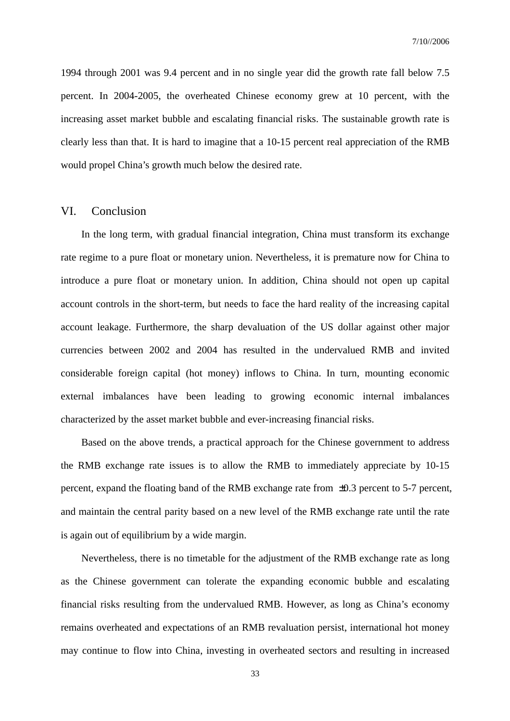1994 through 2001 was 9.4 percent and in no single year did the growth rate fall below 7.5 percent. In 2004-2005, the overheated Chinese economy grew at 10 percent, with the increasing asset market bubble and escalating financial risks. The sustainable growth rate is clearly less than that. It is hard to imagine that a 10-15 percent real appreciation of the RMB would propel China's growth much below the desired rate.

# VI. Conclusion

In the long term, with gradual financial integration, China must transform its exchange rate regime to a pure float or monetary union. Nevertheless, it is premature now for China to introduce a pure float or monetary union. In addition, China should not open up capital account controls in the short-term, but needs to face the hard reality of the increasing capital account leakage. Furthermore, the sharp devaluation of the US dollar against other major currencies between 2002 and 2004 has resulted in the undervalued RMB and invited considerable foreign capital (hot money) inflows to China. In turn, mounting economic external imbalances have been leading to growing economic internal imbalances characterized by the asset market bubble and ever-increasing financial risks.

Based on the above trends, a practical approach for the Chinese government to address the RMB exchange rate issues is to allow the RMB to immediately appreciate by 10-15 percent, expand the floating band of the RMB exchange rate from ±0.3 percent to 5-7 percent, and maintain the central parity based on a new level of the RMB exchange rate until the rate is again out of equilibrium by a wide margin.

Nevertheless, there is no timetable for the adjustment of the RMB exchange rate as long as the Chinese government can tolerate the expanding economic bubble and escalating financial risks resulting from the undervalued RMB. However, as long as China's economy remains overheated and expectations of an RMB revaluation persist, international hot money may continue to flow into China, investing in overheated sectors and resulting in increased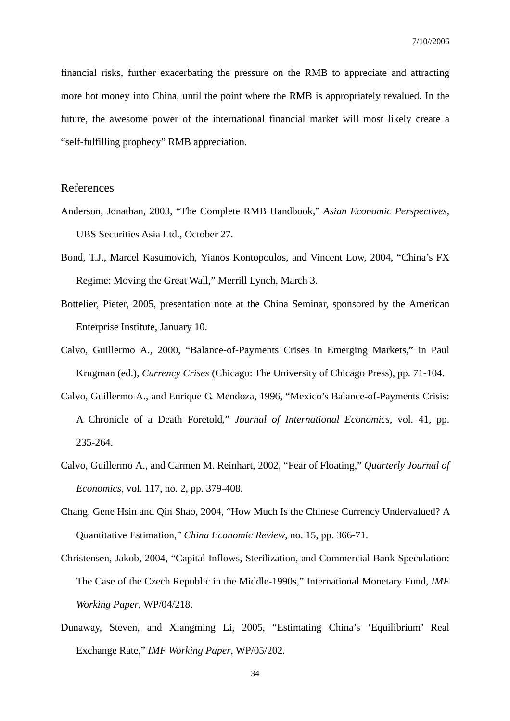financial risks, further exacerbating the pressure on the RMB to appreciate and attracting more hot money into China, until the point where the RMB is appropriately revalued. In the future, the awesome power of the international financial market will most likely create a "self-fulfilling prophecy" RMB appreciation.

## References

- Anderson, Jonathan, 2003, "The Complete RMB Handbook," *Asian Economic Perspectives*, UBS Securities Asia Ltd., October 27.
- Bond, T.J., Marcel Kasumovich, Yianos Kontopoulos, and Vincent Low, 2004, "China's FX Regime: Moving the Great Wall," Merrill Lynch, March 3.
- Bottelier, Pieter, 2005, presentation note at the China Seminar, sponsored by the American Enterprise Institute, January 10.
- Calvo, Guillermo A., 2000, "Balance-of-Payments Crises in Emerging Markets," in Paul Krugman (ed.), *Currency Crises* (Chicago: The University of Chicago Press), pp. 71-104.
- Calvo, Guillermo A., and Enrique G. Mendoza, 1996, "Mexico's Balance-of-Payments Crisis: A Chronicle of a Death Foretold," *Journal of International Economics*, vol. 41, pp. 235-264.
- Calvo, Guillermo A., and Carmen M. Reinhart, 2002, "Fear of Floating," *Quarterly Journal of Economics*, vol. 117, no. 2, pp. 379-408.
- Chang, Gene Hsin and Qin Shao, 2004, "How Much Is the Chinese Currency Undervalued? A Quantitative Estimation," *China Economic Review*, no. 15, pp. 366-71.
- Christensen, Jakob, 2004, "Capital Inflows, Sterilization, and Commercial Bank Speculation: The Case of the Czech Republic in the Middle-1990s," International Monetary Fund, *IMF Working Paper*, WP/04/218.
- Dunaway, Steven, and Xiangming Li, 2005, "Estimating China's 'Equilibrium' Real Exchange Rate," *IMF Working Paper*, WP/05/202.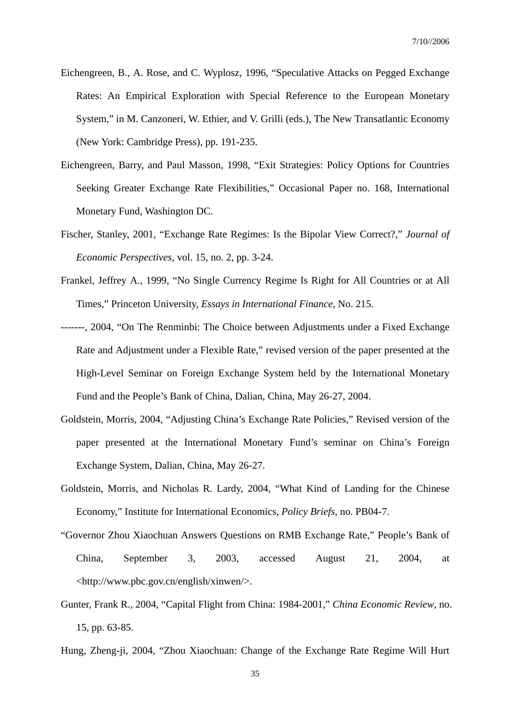- Eichengreen, B., A. Rose, and C. Wyplosz, 1996, "Speculative Attacks on Pegged Exchange Rates: An Empirical Exploration with Special Reference to the European Monetary System," in M. Canzoneri, W. Ethier, and V. Grilli (eds.), The New Transatlantic Economy (New York: Cambridge Press), pp. 191-235.
- Eichengreen, Barry, and Paul Masson, 1998, "Exit Strategies: Policy Options for Countries Seeking Greater Exchange Rate Flexibilities," Occasional Paper no. 168, International Monetary Fund, Washington DC.
- Fischer, Stanley, 2001, "Exchange Rate Regimes: Is the Bipolar View Correct?," *Journal of Economic Perspectives*, vol. 15, no. 2, pp. 3-24.
- Frankel, Jeffrey A., 1999, "No Single Currency Regime Is Right for All Countries or at All Times," Princeton University, *Essays in International Finance*, No. 215.
- -------, 2004, "On The Renminbi: The Choice between Adjustments under a Fixed Exchange Rate and Adjustment under a Flexible Rate," revised version of the paper presented at the High-Level Seminar on Foreign Exchange System held by the International Monetary Fund and the People's Bank of China, Dalian, China, May 26-27, 2004.
- Goldstein, Morris, 2004, "Adjusting China's Exchange Rate Policies," Revised version of the paper presented at the International Monetary Fund's seminar on China's Foreign Exchange System, Dalian, China, May 26-27.
- Goldstein, Morris, and Nicholas R. Lardy, 2004, "What Kind of Landing for the Chinese Economy," Institute for International Economics, *Policy Briefs*, no. PB04-7.
- "Governor Zhou Xiaochuan Answers Questions on RMB Exchange Rate," People's Bank of China, September 3, 2003, accessed August 21, 2004, at <http://www.pbc.gov.cn/english/xinwen/>.
- Gunter, Frank R., 2004, "Capital Flight from China: 1984-2001," *China Economic Review*, no. 15, pp. 63-85.
- Hung, Zheng-ji, 2004, "Zhou Xiaochuan: Change of the Exchange Rate Regime Will Hurt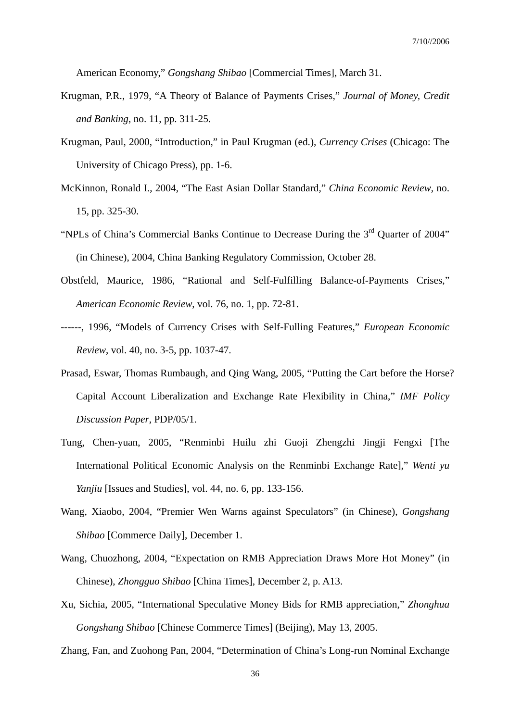American Economy," *Gongshang Shibao* [Commercial Times], March 31.

- Krugman, P.R., 1979, "A Theory of Balance of Payments Crises," *Journal of Money, Credit and Banking*, no. 11, pp. 311-25.
- Krugman, Paul, 2000, "Introduction," in Paul Krugman (ed.), *Currency Crises* (Chicago: The University of Chicago Press), pp. 1-6.
- McKinnon, Ronald I., 2004, "The East Asian Dollar Standard," *China Economic Review*, no. 15, pp. 325-30.
- "NPLs of China's Commercial Banks Continue to Decrease During the 3rd Quarter of 2004" (in Chinese), 2004, China Banking Regulatory Commission, October 28.
- Obstfeld, Maurice, 1986, "Rational and Self-Fulfilling Balance-of-Payments Crises," *American Economic Review*, vol. 76, no. 1, pp. 72-81.
- ------, 1996, "Models of Currency Crises with Self-Fulling Features," *European Economic Review*, vol. 40, no. 3-5, pp. 1037-47.
- Prasad, Eswar, Thomas Rumbaugh, and Qing Wang, 2005, "Putting the Cart before the Horse? Capital Account Liberalization and Exchange Rate Flexibility in China," *IMF Policy Discussion Paper*, PDP/05/1.
- Tung, Chen-yuan, 2005, "Renminbi Huilu zhi Guoji Zhengzhi Jingji Fengxi [The International Political Economic Analysis on the Renminbi Exchange Rate]," *Wenti yu Yanjiu* [Issues and Studies], vol. 44, no. 6, pp. 133-156.
- Wang, Xiaobo, 2004, "Premier Wen Warns against Speculators" (in Chinese), *Gongshang Shibao* [Commerce Daily], December 1.
- Wang, Chuozhong, 2004, "Expectation on RMB Appreciation Draws More Hot Money" (in Chinese), *Zhongguo Shibao* [China Times], December 2, p. A13.
- Xu, Sichia, 2005, "International Speculative Money Bids for RMB appreciation," *Zhonghua Gongshang Shibao* [Chinese Commerce Times] (Beijing), May 13, 2005.

Zhang, Fan, and Zuohong Pan, 2004, "Determination of China's Long-run Nominal Exchange